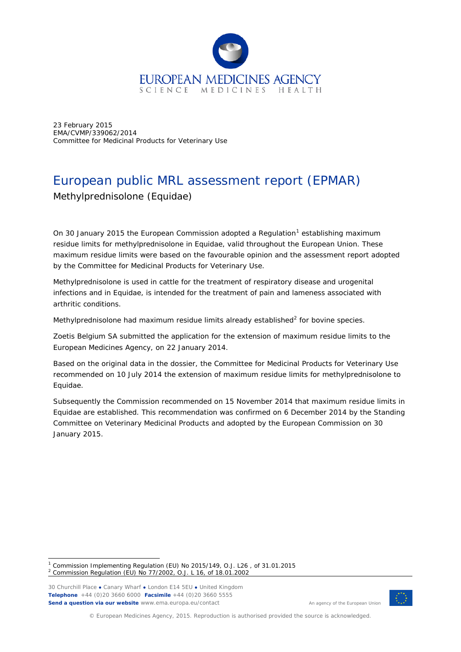

23 February 2015 EMA/CVMP/339062/2014 Committee for Medicinal Products for Veterinary Use

# European public MRL assessment report (EPMAR) Methylprednisolone (*Equidae*)

On 30 January 20[1](#page-0-0)5 the European Commission adopted a Regulation<sup>1</sup> establishing maximum residue limits for methylprednisolone in *Equidae*, valid throughout the European Union. These maximum residue limits were based on the favourable opinion and the assessment report adopted by the Committee for Medicinal Products for Veterinary Use.

Methylprednisolone is used in cattle for the treatment of respiratory disease and urogenital infections and in *Equidae*, is intended for the treatment of pain and lameness associated with arthritic conditions.

Methylprednisolone had maximum residue limits already established $2$  for bovine species.

Zoetis Belgium SA submitted the application for the extension of maximum residue limits to the European Medicines Agency, on 22 January 2014.

Based on the original data in the dossier, the Committee for Medicinal Products for Veterinary Use recommended on 10 July 2014 the extension of maximum residue limits for methylprednisolone to *Equidae*.

Subsequently the Commission recommended on 15 November 2014 that maximum residue limits in *Equidae* are established. This recommendation was confirmed on 6 December 2014 by the Standing Committee on Veterinary Medicinal Products and adopted by the European Commission on 30 January 2015.

30 Churchill Place **●** Canary Wharf **●** London E14 5EU **●** United Kingdom **Telephone** +44 (0)20 3660 6000 **Facsimile** +44 (0)20 3660 5555 **Send a question via our website** www.ema.europa.eu/contact



An agency of the European Union

© European Medicines Agency, 2015. Reproduction is authorised provided the source is acknowledged.

<span id="page-0-1"></span><span id="page-0-0"></span><sup>&</sup>lt;sup>1</sup> Commission Implementing Regulation (EU) No 2015/149, O.J. L26, of 31.01.2015 <sup>2</sup> Commission Regulation (EU) No 77/2002, O.J. L 16, of 18.01.2002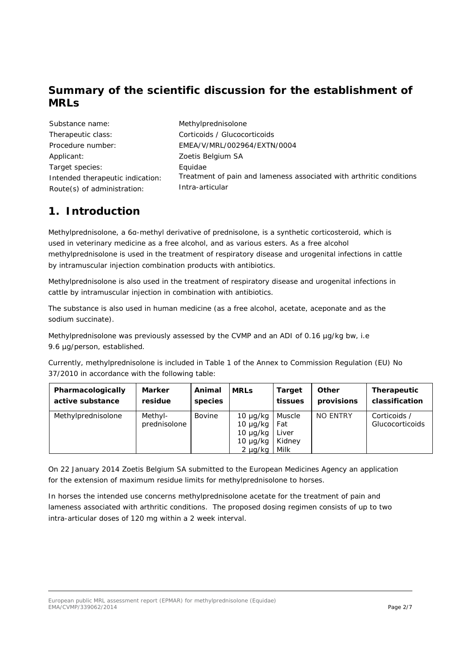# **Summary of the scientific discussion for the establishment of MRLs**

| Substance name:                  | Methylprednisolone                                                  |
|----------------------------------|---------------------------------------------------------------------|
| Therapeutic class:               | Corticoids / Glucocorticoids                                        |
| Procedure number:                | EMEA/V/MRL/002964/EXTN/0004                                         |
| Applicant:                       | Zoetis Belgium SA                                                   |
| Target species:                  | Equidae                                                             |
| Intended therapeutic indication: | Treatment of pain and lameness associated with arthritic conditions |
| Route(s) of administration:      | Intra-articular                                                     |

# **1. Introduction**

Methylprednisolone, a 6α-methyl derivative of prednisolone, is a synthetic corticosteroid, which is used in veterinary medicine as a free alcohol, and as various esters. As a free alcohol methylprednisolone is used in the treatment of respiratory disease and urogenital infections in cattle by intramuscular injection combination products with antibiotics.

Methylprednisolone is also used in the treatment of respiratory disease and urogenital infections in cattle by intramuscular injection in combination with antibiotics.

The substance is also used in human medicine (as a free alcohol, acetate, aceponate and as the sodium succinate).

Methylprednisolone was previously assessed by the CVMP and an ADI of 0.16  $\mu$ g/kg bw, i.e 9.6 µg/person, established.

Currently, methylprednisolone is included in Table 1 of the Annex to Commission Regulation (EU) No 37/2010 in accordance with the following table:

| Pharmacologically  | <b>Marker</b>           | Animal        | <b>MRLs</b>                                                                      | <b>Target</b>                            | Other      | Therapeutic                     |
|--------------------|-------------------------|---------------|----------------------------------------------------------------------------------|------------------------------------------|------------|---------------------------------|
| active substance   | residue                 | species       |                                                                                  | tissues                                  | provisions | classification                  |
| Methylprednisolone | Methyl-<br>prednisolone | <b>Bovine</b> | $10 \mu q/kg$<br>$10 \mu g/kg$<br>$10 \mu g/kg$<br>$10 \mu g/kg$<br>$2 \mu g/kg$ | Muscle<br>Fat<br>Liver<br>Kidney<br>Milk | NO ENTRY   | Corticoids /<br>Glucocorticoids |

On 22 January 2014 Zoetis Belgium SA submitted to the European Medicines Agency an application for the extension of maximum residue limits for methylprednisolone to horses.

In horses the intended use concerns methylprednisolone acetate for the treatment of pain and lameness associated with arthritic conditions. The proposed dosing regimen consists of up to two intra-articular doses of 120 mg within a 2 week interval.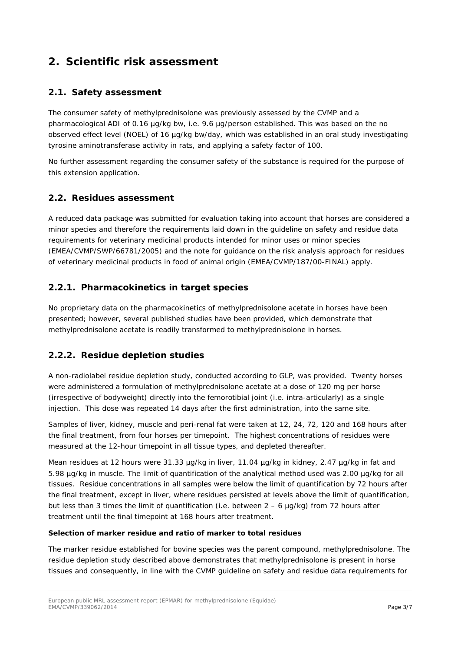# **2. Scientific risk assessment**

### *2.1. Safety assessment*

The consumer safety of methylprednisolone was previously assessed by the CVMP and a pharmacological ADI of 0.16 µg/kg bw, i.e. 9.6 µg/person established. This was based on the no observed effect level (NOEL) of 16 µg/kg bw/day, which was established in an oral study investigating tyrosine aminotransferase activity in rats, and applying a safety factor of 100.

No further assessment regarding the consumer safety of the substance is required for the purpose of this extension application.

#### *2.2. Residues assessment*

A reduced data package was submitted for evaluation taking into account that horses are considered a minor species and therefore the requirements laid down in the guideline on safety and residue data requirements for veterinary medicinal products intended for minor uses or minor species (EMEA/CVMP/SWP/66781/2005) and the note for guidance on the risk analysis approach for residues of veterinary medicinal products in food of animal origin (EMEA/CVMP/187/00-FINAL) apply.

## **2.2.1. Pharmacokinetics in target species**

No proprietary data on the pharmacokinetics of methylprednisolone acetate in horses have been presented; however, several published studies have been provided, which demonstrate that methylprednisolone acetate is readily transformed to methylprednisolone in horses.

## **2.2.2. Residue depletion studies**

A non-radiolabel residue depletion study, conducted according to GLP, was provided. Twenty horses were administered a formulation of methylprednisolone acetate at a dose of 120 mg per horse (irrespective of bodyweight) directly into the femorotibial joint (i.e. intra-articularly) as a single injection. This dose was repeated 14 days after the first administration, into the same site.

Samples of liver, kidney, muscle and peri-renal fat were taken at 12, 24, 72, 120 and 168 hours after the final treatment, from four horses per timepoint. The highest concentrations of residues were measured at the 12-hour timepoint in all tissue types, and depleted thereafter.

Mean residues at 12 hours were 31.33 µg/kg in liver, 11.04 µg/kg in kidney, 2.47 µg/kg in fat and 5.98 µg/kg in muscle. The limit of quantification of the analytical method used was 2.00 µg/kg for all tissues. Residue concentrations in all samples were below the limit of quantification by 72 hours after the final treatment, except in liver, where residues persisted at levels above the limit of quantification, but less than 3 times the limit of quantification (i.e. between  $2 - 6$  µg/kg) from 72 hours after treatment until the final timepoint at 168 hours after treatment.

#### **Selection of marker residue and ratio of marker to total residues**

The marker residue established for bovine species was the parent compound, methylprednisolone. The residue depletion study described above demonstrates that methylprednisolone is present in horse tissues and consequently, in line with the CVMP guideline on safety and residue data requirements for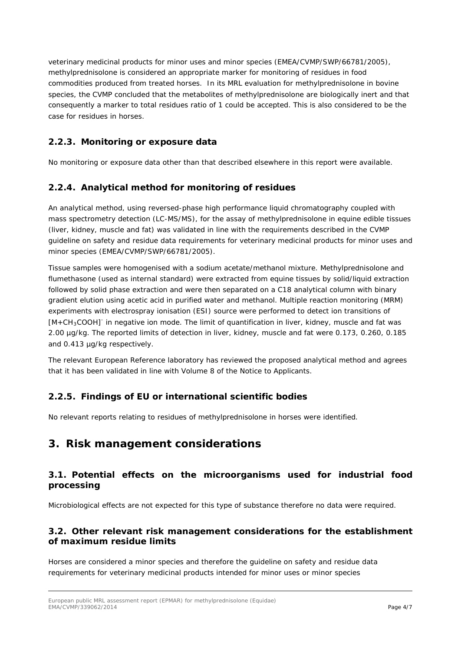veterinary medicinal products for minor uses and minor species (EMEA/CVMP/SWP/66781/2005), methylprednisolone is considered an appropriate marker for monitoring of residues in food commodities produced from treated horses. In its MRL evaluation for methylprednisolone in bovine species, the CVMP concluded that the metabolites of methylprednisolone are biologically inert and that consequently a marker to total residues ratio of 1 could be accepted. This is also considered to be the case for residues in horses.

# **2.2.3. Monitoring or exposure data**

No monitoring or exposure data other than that described elsewhere in this report were available.

#### **2.2.4. Analytical method for monitoring of residues**

An analytical method, using reversed-phase high performance liquid chromatography coupled with mass spectrometry detection (LC-MS/MS), for the assay of methylprednisolone in equine edible tissues (liver, kidney, muscle and fat) was validated in line with the requirements described in the CVMP guideline on safety and residue data requirements for veterinary medicinal products for minor uses and minor species (EMEA/CVMP/SWP/66781/2005).

Tissue samples were homogenised with a sodium acetate/methanol mixture. Methylprednisolone and flumethasone (used as internal standard) were extracted from equine tissues by solid/liquid extraction followed by solid phase extraction and were then separated on a C18 analytical column with binary gradient elution using acetic acid in purified water and methanol. Multiple reaction monitoring (MRM) experiments with electrospray ionisation (ESI) source were performed to detect ion transitions of [M+CH<sub>3</sub>COOH]<sup>-</sup> in negative ion mode. The limit of quantification in liver, kidney, muscle and fat was 2.00 µg/kg. The reported limits of detection in liver, kidney, muscle and fat were 0.173, 0.260, 0.185 and 0.413 µg/kg respectively.

The relevant European Reference laboratory has reviewed the proposed analytical method and agrees that it has been validated in line with Volume 8 of the Notice to Applicants.

## **2.2.5. Findings of EU or international scientific bodies**

No relevant reports relating to residues of methylprednisolone in horses were identified.

# **3. Risk management considerations**

#### *3.1. Potential effects on the microorganisms used for industrial food processing*

Microbiological effects are not expected for this type of substance therefore no data were required.

#### *3.2. Other relevant risk management considerations for the establishment of maximum residue limits*

Horses are considered a minor species and therefore the guideline on safety and residue data requirements for veterinary medicinal products intended for minor uses or minor species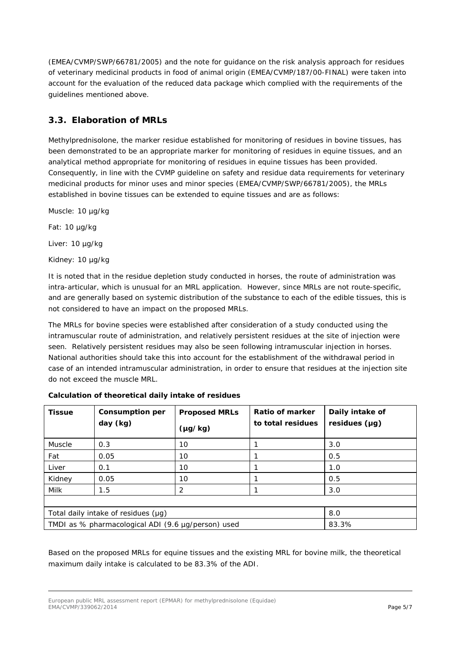(EMEA/CVMP/SWP/66781/2005) and the note for guidance on the risk analysis approach for residues of veterinary medicinal products in food of animal origin (EMEA/CVMP/187/00-FINAL) were taken into account for the evaluation of the reduced data package which complied with the requirements of the guidelines mentioned above.

# *3.3. Elaboration of MRLs*

Methylprednisolone, the marker residue established for monitoring of residues in bovine tissues, has been demonstrated to be an appropriate marker for monitoring of residues in equine tissues, and an analytical method appropriate for monitoring of residues in equine tissues has been provided. Consequently, in line with the CVMP guideline on safety and residue data requirements for veterinary medicinal products for minor uses and minor species (EMEA/CVMP/SWP/66781/2005), the MRLs established in bovine tissues can be extended to equine tissues and are as follows:

Muscle: 10 µg/kg

Fat: 10 µg/kg

Liver: 10 µg/kg

Kidney: 10 µg/kg

It is noted that in the residue depletion study conducted in horses, the route of administration was intra-articular, which is unusual for an MRL application. However, since MRLs are not route-specific, and are generally based on systemic distribution of the substance to each of the edible tissues, this is not considered to have an impact on the proposed MRLs.

The MRLs for bovine species were established after consideration of a study conducted using the intramuscular route of administration, and relatively persistent residues at the site of injection were seen. Relatively persistent residues may also be seen following intramuscular injection in horses. National authorities should take this into account for the establishment of the withdrawal period in case of an intended intramuscular administration, in order to ensure that residues at the injection site do not exceed the muscle MRL.

| <b>Tissue</b>                                      | <b>Consumption per</b><br>day (kg) | <b>Proposed MRLs</b><br>$(\mu g/kg)$ | Ratio of marker<br>to total residues | Daily intake of<br>residues (µg) |  |
|----------------------------------------------------|------------------------------------|--------------------------------------|--------------------------------------|----------------------------------|--|
|                                                    |                                    |                                      |                                      |                                  |  |
| Muscle                                             | 0.3                                | 10                                   |                                      | 3.0                              |  |
| Fat                                                | 0.05                               | 10                                   |                                      | 0.5                              |  |
| Liver                                              | 0.1                                | 10                                   |                                      | 1.0                              |  |
| Kidney                                             | 0.05                               | 10                                   |                                      | 0.5                              |  |
| Milk                                               | 1.5                                | 2                                    |                                      | 3.0                              |  |
|                                                    |                                    |                                      |                                      |                                  |  |
| Total daily intake of residues $(\mu g)$           |                                    |                                      |                                      | 8.0                              |  |
| TMDI as % pharmacological ADI (9.6 µg/person) used |                                    |                                      |                                      | 83.3%                            |  |

#### **Calculation of theoretical daily intake of residues**

Based on the proposed MRLs for equine tissues and the existing MRL for bovine milk, the theoretical maximum daily intake is calculated to be 83.3% of the ADI.

European public MRL assessment report (EPMAR) for methylprednisolone (*Equidae*) EMA/CVMP/339062/2014 Page 5/7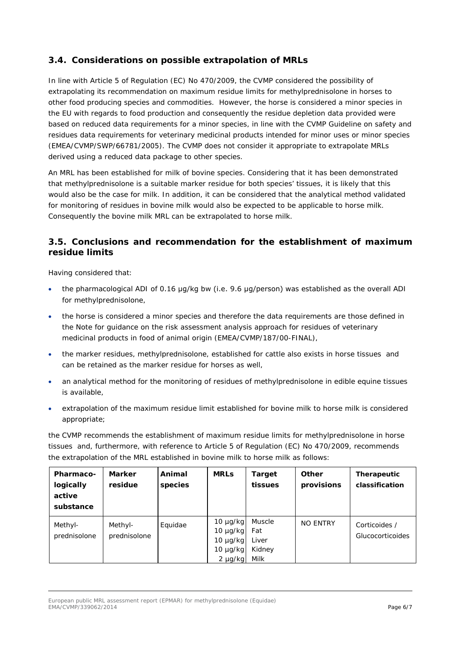# *3.4. Considerations on possible extrapolation of MRLs*

In line with Article 5 of Regulation (EC) No 470/2009, the CVMP considered the possibility of extrapolating its recommendation on maximum residue limits for methylprednisolone in horses to other food producing species and commodities. However, the horse is considered a minor species in the EU with regards to food production and consequently the residue depletion data provided were based on reduced data requirements for a minor species, in line with the CVMP Guideline on safety and residues data requirements for veterinary medicinal products intended for minor uses or minor species (EMEA/CVMP/SWP/66781/2005). The CVMP does not consider it appropriate to extrapolate MRLs derived using a reduced data package to other species.

An MRL has been established for milk of bovine species. Considering that it has been demonstrated that methylprednisolone is a suitable marker residue for both species' tissues, it is likely that this would also be the case for milk. In addition, it can be considered that the analytical method validated for monitoring of residues in bovine milk would also be expected to be applicable to horse milk. Consequently the bovine milk MRL can be extrapolated to horse milk.

## *3.5. Conclusions and recommendation for the establishment of maximum residue limits*

Having considered that:

- the pharmacological ADI of 0.16 μg/kg bw (i.e. 9.6 μg/person) was established as the overall ADI for methylprednisolone,
- the horse is considered a minor species and therefore the data requirements are those defined in the Note for guidance on the risk assessment analysis approach for residues of veterinary medicinal products in food of animal origin (EMEA/CVMP/187/00-FINAL),
- the marker residues, methylprednisolone, established for cattle also exists in horse tissues and can be retained as the marker residue for horses as well,
- an analytical method for the monitoring of residues of methylprednisolone in edible equine tissues is available,
- extrapolation of the maximum residue limit established for bovine milk to horse milk is considered appropriate;

the CVMP recommends the establishment of maximum residue limits for methylprednisolone in horse tissues and, furthermore, with reference to Article 5 of Regulation (EC) No 470/2009, recommends the extrapolation of the MRL established in bovine milk to horse milk as follows:

| <b>Pharmaco-</b><br>logically<br>active<br>substance | <b>Marker</b><br>residue | Animal<br>species | <b>MRLs</b>                                                                      | Target<br>tissues                        | Other<br>provisions | Therapeutic<br>classification     |
|------------------------------------------------------|--------------------------|-------------------|----------------------------------------------------------------------------------|------------------------------------------|---------------------|-----------------------------------|
| Methyl-<br>prednisolone                              | Methyl-<br>prednisolone  | Equidae           | $10 \mu g/kg$<br>$10 \mu g/kg$<br>$10 \mu g/kg$<br>$10 \mu g/kg$<br>$2 \mu g/kg$ | Muscle<br>Fat<br>Liver<br>Kidney<br>Milk | <b>NO ENTRY</b>     | Corticoides /<br>Glucocorticoides |